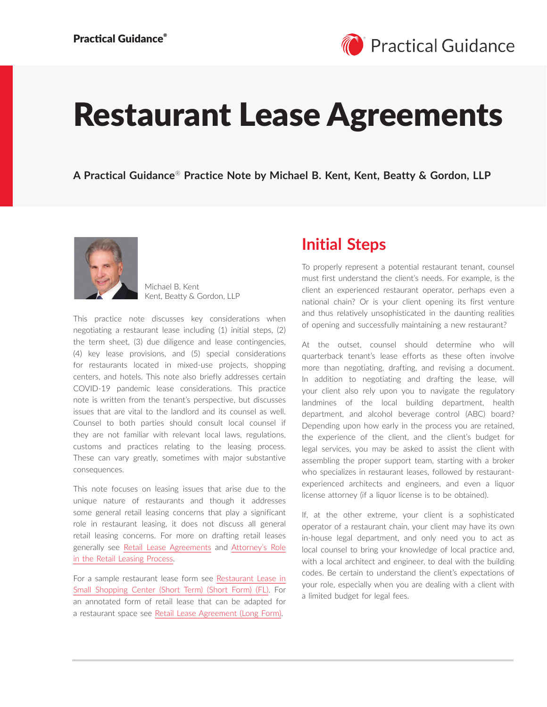# Restaurant Lease Agreements

**A Practical Guidance**® **Practice Note by Michael B. Kent, Kent, Beatty & Gordon, LLP**



Michael B. Kent Kent, Beatty & Gordon, LLP

This practice note discusses key considerations when negotiating a restaurant lease including (1) initial steps, (2) the term sheet, (3) due diligence and lease contingencies, (4) key lease provisions, and (5) special considerations for restaurants located in mixed-use projects, shopping centers, and hotels. This note also briefly addresses certain COVID-19 pandemic lease considerations. This practice note is written from the tenant's perspective, but discusses issues that are vital to the landlord and its counsel as well. Counsel to both parties should consult local counsel if they are not familiar with relevant local laws, regulations, customs and practices relating to the leasing process. These can vary greatly, sometimes with major substantive consequences.

This note focuses on leasing issues that arise due to the unique nature of restaurants and though it addresses some general retail leasing concerns that play a significant role in restaurant leasing, it does not discuss all general retail leasing concerns. For more on drafting retail leases generally see [Retail Lease Agreements](https://advance.lexis.com/open/document/lpadocument/?pdmfid=1000522&pddocfullpath=%2Fshared%2Fdocument%2Fanalytical-materials%2Furn%3AcontentItem%3A5MND-X4Y1-JJ1H-X48D-00000-00&pdcontentcomponentid=500749&pdteaserkey=sr0&pditab=allpods&ecomp=ztrg&earg=sr0) and [Attorney's Role](https://advance.lexis.com/open/document/lpadocument/?pdmfid=1000522&pddocfullpath=%2Fshared%2Fdocument%2Fanalytical-materials%2Furn%3AcontentItem%3A5MND-X4Y1-JJ1H-X48C-00000-00&pdcontentcomponentid=500749&pdteaserkey=sr0&pditab=allpods&ecomp=ztrg&earg=sr0)  [in the Retail Leasing Process.](https://advance.lexis.com/open/document/lpadocument/?pdmfid=1000522&pddocfullpath=%2Fshared%2Fdocument%2Fanalytical-materials%2Furn%3AcontentItem%3A5MND-X4Y1-JJ1H-X48C-00000-00&pdcontentcomponentid=500749&pdteaserkey=sr0&pditab=allpods&ecomp=ztrg&earg=sr0)

For a sample restaurant lease form see [Restaurant Lease in](https://advance.lexis.com/open/document/lpadocument/?pdmfid=1000522&pddocfullpath=%2Fshared%2Fdocument%2Fforms%2Furn%3AcontentItem%3A5JS5-C301-JJYN-B2R6-00000-00&pdcontentcomponentid=500752&pdteaserkey=sr0&pditab=allpods&ecomp=ztrg&earg=sr0)  [Small Shopping Center \(Short Term\) \(Short Form\) \(FL\).](https://advance.lexis.com/open/document/lpadocument/?pdmfid=1000522&pddocfullpath=%2Fshared%2Fdocument%2Fforms%2Furn%3AcontentItem%3A5JS5-C301-JJYN-B2R6-00000-00&pdcontentcomponentid=500752&pdteaserkey=sr0&pditab=allpods&ecomp=ztrg&earg=sr0) For an annotated form of retail lease that can be adapted for a restaurant space see [Retail Lease Agreement \(Long Form\).](https://advance.lexis.com/open/document/lpadocument/?pdmfid=1000522&pddocfullpath=%2Fshared%2Fdocument%2Fforms%2Furn%3AcontentItem%3A5B96-SXY1-JG59-22M2-00000-00&pdcontentcomponentid=500752&pdteaserkey=sr47&pditab=allpods&ecomp=ztrg&earg=sr47)

### **Initial Steps**

To properly represent a potential restaurant tenant, counsel must first understand the client's needs. For example, is the client an experienced restaurant operator, perhaps even a national chain? Or is your client opening its first venture and thus relatively unsophisticated in the daunting realities of opening and successfully maintaining a new restaurant?

At the outset, counsel should determine who will quarterback tenant's lease efforts as these often involve more than negotiating, drafting, and revising a document. In addition to negotiating and drafting the lease, will your client also rely upon you to navigate the regulatory landmines of the local building department, health department, and alcohol beverage control (ABC) board? Depending upon how early in the process you are retained, the experience of the client, and the client's budget for legal services, you may be asked to assist the client with assembling the proper support team, starting with a broker who specializes in restaurant leases, followed by restaurantexperienced architects and engineers, and even a liquor license attorney (if a liquor license is to be obtained).

If, at the other extreme, your client is a sophisticated operator of a restaurant chain, your client may have its own in-house legal department, and only need you to act as local counsel to bring your knowledge of local practice and, with a local architect and engineer, to deal with the building codes. Be certain to understand the client's expectations of your role, especially when you are dealing with a client with a limited budget for legal fees.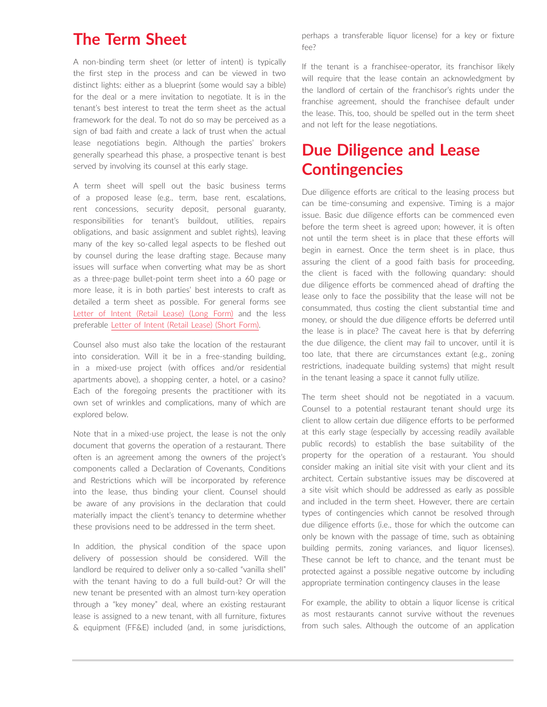### **The Term Sheet**

A non-binding term sheet (or letter of intent) is typically the first step in the process and can be viewed in two distinct lights: either as a blueprint (some would say a bible) for the deal or a mere invitation to negotiate. It is in the tenant's best interest to treat the term sheet as the actual framework for the deal. To not do so may be perceived as a sign of bad faith and create a lack of trust when the actual lease negotiations begin. Although the parties' brokers generally spearhead this phase, a prospective tenant is best served by involving its counsel at this early stage.

A term sheet will spell out the basic business terms of a proposed lease (e.g., term, base rent, escalations, rent concessions, security deposit, personal guaranty, responsibilities for tenant's buildout, utilities, repairs obligations, and basic assignment and sublet rights), leaving many of the key so-called legal aspects to be fleshed out by counsel during the lease drafting stage. Because many issues will surface when converting what may be as short as a three-page bullet-point term sheet into a 60 page or more lease, it is in both parties' best interests to craft as detailed a term sheet as possible. For general forms see [Letter of Intent \(Retail Lease\) \(Long Form\)](https://advance.lexis.com/open/document/lpadocument/?pdmfid=1000522&pddocfullpath=%2Fshared%2Fdocument%2Fforms%2Furn%3AcontentItem%3A5BGS-HKK1-F57G-S53D-00000-00&pdcontentcomponentid=500752&pdteaserkey=sr0&pditab=allpods&ecomp=ztrg&earg=sr0) and the less preferable [Letter of Intent \(Retail Lease\) \(Short Form\).](https://advance.lexis.com/open/document/lpadocument/?pdmfid=1000522&pddocfullpath=%2Fshared%2Fdocument%2Fforms%2Furn%3AcontentItem%3A5BGS-HKK1-F57G-S53F-00000-00&pdcontentcomponentid=500752&pdteaserkey=sr0&pditab=allpods&ecomp=ztrg&earg=sr0)

Counsel also must also take the location of the restaurant into consideration. Will it be in a free-standing building, in a mixed-use project (with offices and/or residential apartments above), a shopping center, a hotel, or a casino? Each of the foregoing presents the practitioner with its own set of wrinkles and complications, many of which are explored below.

Note that in a mixed-use project, the lease is not the only document that governs the operation of a restaurant. There often is an agreement among the owners of the project's components called a Declaration of Covenants, Conditions and Restrictions which will be incorporated by reference into the lease, thus binding your client. Counsel should be aware of any provisions in the declaration that could materially impact the client's tenancy to determine whether these provisions need to be addressed in the term sheet.

In addition, the physical condition of the space upon delivery of possession should be considered. Will the landlord be required to deliver only a so-called "vanilla shell" with the tenant having to do a full build-out? Or will the new tenant be presented with an almost turn-key operation through a "key money" deal, where an existing restaurant lease is assigned to a new tenant, with all furniture, fixtures & equipment (FF&E) included (and, in some jurisdictions, perhaps a transferable liquor license) for a key or fixture fee?

If the tenant is a franchisee-operator, its franchisor likely will require that the lease contain an acknowledgment by the landlord of certain of the franchisor's rights under the franchise agreement, should the franchisee default under the lease. This, too, should be spelled out in the term sheet and not left for the lease negotiations.

# **Due Diligence and Lease Contingencies**

Due diligence efforts are critical to the leasing process but can be time-consuming and expensive. Timing is a major issue. Basic due diligence efforts can be commenced even before the term sheet is agreed upon; however, it is often not until the term sheet is in place that these efforts will begin in earnest. Once the term sheet is in place, thus assuring the client of a good faith basis for proceeding, the client is faced with the following quandary: should due diligence efforts be commenced ahead of drafting the lease only to face the possibility that the lease will not be consummated, thus costing the client substantial time and money, or should the due diligence efforts be deferred until the lease is in place? The caveat here is that by deferring the due diligence, the client may fail to uncover, until it is too late, that there are circumstances extant (e.g., zoning restrictions, inadequate building systems) that might result in the tenant leasing a space it cannot fully utilize.

The term sheet should not be negotiated in a vacuum. Counsel to a potential restaurant tenant should urge its client to allow certain due diligence efforts to be performed at this early stage (especially by accessing readily available public records) to establish the base suitability of the property for the operation of a restaurant. You should consider making an initial site visit with your client and its architect. Certain substantive issues may be discovered at a site visit which should be addressed as early as possible and included in the term sheet. However, there are certain types of contingencies which cannot be resolved through due diligence efforts (i.e., those for which the outcome can only be known with the passage of time, such as obtaining building permits, zoning variances, and liquor licenses). These cannot be left to chance, and the tenant must be protected against a possible negative outcome by including appropriate termination contingency clauses in the lease

For example, the ability to obtain a liquor license is critical as most restaurants cannot survive without the revenues from such sales. Although the outcome of an application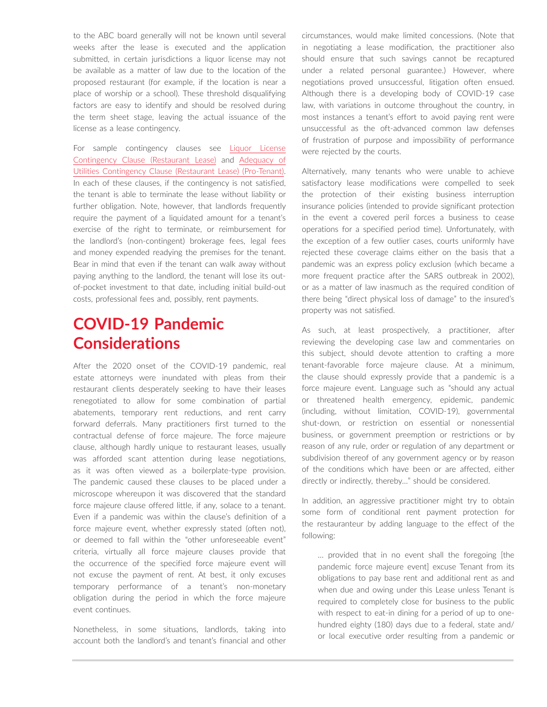to the ABC board generally will not be known until several weeks after the lease is executed and the application submitted, in certain jurisdictions a liquor license may not be available as a matter of law due to the location of the proposed restaurant (for example, if the location is near a place of worship or a school). These threshold disqualifying factors are easy to identify and should be resolved during the term sheet stage, leaving the actual issuance of the license as a lease contingency.

For sample contingency clauses see [Liquor License](https://advance.lexis.com/open/document/lpadocument/?pdmfid=1000522&pddocfullpath=%2Fshared%2Fdocument%2Fforms%2Furn%3AcontentItem%3A5R6K-0CN1-F4GK-M4D3-00000-00&pdcontentcomponentid=500752&pdteaserkey=sr0&pditab=allpods&ecomp=ztrg&earg=sr0)  [Contingency Clause \(Restaurant Lease\)](https://advance.lexis.com/open/document/lpadocument/?pdmfid=1000522&pddocfullpath=%2Fshared%2Fdocument%2Fforms%2Furn%3AcontentItem%3A5R6K-0CN1-F4GK-M4D3-00000-00&pdcontentcomponentid=500752&pdteaserkey=sr0&pditab=allpods&ecomp=ztrg&earg=sr0) and [Adequacy of](https://advance.lexis.com/open/document/lpadocument/?pdmfid=1000522&pddocfullpath=%2Fshared%2Fdocument%2Fforms%2Furn%3AcontentItem%3A5R6K-0CN1-F4GK-M4D7-00000-00&pdcontentcomponentid=500752&pdteaserkey=sr0&pditab=allpods&ecomp=ztrg&earg=sr0)  [Utilities Contingency Clause \(Restaurant Lease\) \(Pro-Tenant\).](https://advance.lexis.com/open/document/lpadocument/?pdmfid=1000522&pddocfullpath=%2Fshared%2Fdocument%2Fforms%2Furn%3AcontentItem%3A5R6K-0CN1-F4GK-M4D7-00000-00&pdcontentcomponentid=500752&pdteaserkey=sr0&pditab=allpods&ecomp=ztrg&earg=sr0) In each of these clauses, if the contingency is not satisfied, the tenant is able to terminate the lease without liability or further obligation. Note, however, that landlords frequently require the payment of a liquidated amount for a tenant's exercise of the right to terminate, or reimbursement for the landlord's (non-contingent) brokerage fees, legal fees and money expended readying the premises for the tenant. Bear in mind that even if the tenant can walk away without paying anything to the landlord, the tenant will lose its outof-pocket investment to that date, including initial build-out costs, professional fees and, possibly, rent payments.

# **COVID-19 Pandemic Considerations**

After the 2020 onset of the COVID-19 pandemic, real estate attorneys were inundated with pleas from their restaurant clients desperately seeking to have their leases renegotiated to allow for some combination of partial abatements, temporary rent reductions, and rent carry forward deferrals. Many practitioners first turned to the contractual defense of force majeure. The force majeure clause, although hardly unique to restaurant leases, usually was afforded scant attention during lease negotiations, as it was often viewed as a boilerplate-type provision. The pandemic caused these clauses to be placed under a microscope whereupon it was discovered that the standard force majeure clause offered little, if any, solace to a tenant. Even if a pandemic was within the clause's definition of a force majeure event, whether expressly stated (often not), or deemed to fall within the "other unforeseeable event" criteria, virtually all force majeure clauses provide that the occurrence of the specified force majeure event will not excuse the payment of rent. At best, it only excuses temporary performance of a tenant's non-monetary obligation during the period in which the force majeure event continues.

Nonetheless, in some situations, landlords, taking into account both the landlord's and tenant's financial and other

circumstances, would make limited concessions. (Note that in negotiating a lease modification, the practitioner also should ensure that such savings cannot be recaptured under a related personal guarantee.) However, where negotiations proved unsuccessful, litigation often ensued. Although there is a developing body of COVID-19 case law, with variations in outcome throughout the country, in most instances a tenant's effort to avoid paying rent were unsuccessful as the oft-advanced common law defenses of frustration of purpose and impossibility of performance were rejected by the courts.

Alternatively, many tenants who were unable to achieve satisfactory lease modifications were compelled to seek the protection of their existing business interruption insurance policies (intended to provide significant protection in the event a covered peril forces a business to cease operations for a specified period time). Unfortunately, with the exception of a few outlier cases, courts uniformly have rejected these coverage claims either on the basis that a pandemic was an express policy exclusion (which became a more frequent practice after the SARS outbreak in 2002), or as a matter of law inasmuch as the required condition of there being "direct physical loss of damage" to the insured's property was not satisfied.

As such, at least prospectively, a practitioner, after reviewing the developing case law and commentaries on this subject, should devote attention to crafting a more tenant-favorable force majeure clause. At a minimum, the clause should expressly provide that a pandemic is a force majeure event. Language such as "should any actual or threatened health emergency, epidemic, pandemic (including, without limitation, COVID-19), governmental shut-down, or restriction on essential or nonessential business, or government preemption or restrictions or by reason of any rule, order or regulation of any department or subdivision thereof of any government agency or by reason of the conditions which have been or are affected, either directly or indirectly, thereby…" should be considered.

In addition, an aggressive practitioner might try to obtain some form of conditional rent payment protection for the restauranteur by adding language to the effect of the following:

… provided that in no event shall the foregoing [the pandemic force majeure event] excuse Tenant from its obligations to pay base rent and additional rent as and when due and owing under this Lease unless Tenant is required to completely close for business to the public with respect to eat-in dining for a period of up to onehundred eighty (180) days due to a federal, state and/ or local executive order resulting from a pandemic or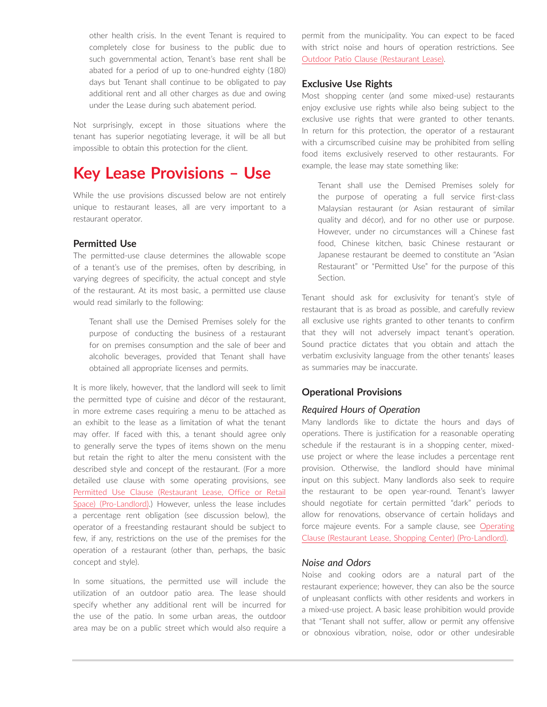other health crisis. In the event Tenant is required to completely close for business to the public due to such governmental action, Tenant's base rent shall be abated for a period of up to one-hundred eighty (180) days but Tenant shall continue to be obligated to pay additional rent and all other charges as due and owing under the Lease during such abatement period.

Not surprisingly, except in those situations where the tenant has superior negotiating leverage, it will be all but impossible to obtain this protection for the client.

# **Key Lease Provisions – Use**

While the use provisions discussed below are not entirely unique to restaurant leases, all are very important to a restaurant operator.

### **Permitted Use**

The permitted-use clause determines the allowable scope of a tenant's use of the premises, often by describing, in varying degrees of specificity, the actual concept and style of the restaurant. At its most basic, a permitted use clause would read similarly to the following:

Tenant shall use the Demised Premises solely for the purpose of conducting the business of a restaurant for on premises consumption and the sale of beer and alcoholic beverages, provided that Tenant shall have obtained all appropriate licenses and permits.

It is more likely, however, that the landlord will seek to limit the permitted type of cuisine and décor of the restaurant, in more extreme cases requiring a menu to be attached as an exhibit to the lease as a limitation of what the tenant may offer. If faced with this, a tenant should agree only to generally serve the types of items shown on the menu but retain the right to alter the menu consistent with the described style and concept of the restaurant. (For a more detailed use clause with some operating provisions, see [Permitted Use Clause \(Restaurant Lease, Office or Retail](https://advance.lexis.com/open/document/lpadocument/?pdmfid=1000522&pddocfullpath=%2Fshared%2Fdocument%2Fforms%2Furn%3AcontentItem%3A5R6K-0CN1-F4GK-M4D6-00000-00&pdcontentcomponentid=500752&pdteaserkey=sr0&pditab=allpods&ecomp=ztrg&earg=sr0)  [Space\) \(Pro-Landlord\).](https://advance.lexis.com/open/document/lpadocument/?pdmfid=1000522&pddocfullpath=%2Fshared%2Fdocument%2Fforms%2Furn%3AcontentItem%3A5R6K-0CN1-F4GK-M4D6-00000-00&pdcontentcomponentid=500752&pdteaserkey=sr0&pditab=allpods&ecomp=ztrg&earg=sr0)) However, unless the lease includes a percentage rent obligation (see discussion below), the operator of a freestanding restaurant should be subject to few, if any, restrictions on the use of the premises for the operation of a restaurant (other than, perhaps, the basic concept and style).

In some situations, the permitted use will include the utilization of an outdoor patio area. The lease should specify whether any additional rent will be incurred for the use of the patio. In some urban areas, the outdoor area may be on a public street which would also require a permit from the municipality. You can expect to be faced with strict noise and hours of operation restrictions. See [Outdoor Patio Clause \(Restaurant Lease\).](https://advance.lexis.com/open/document/lpadocument/?pdmfid=1000522&pddocfullpath=%2Fshared%2Fdocument%2Fforms%2Furn%3AcontentItem%3A5R6K-0CN1-F4GK-M4D5-00000-00&pdcontentcomponentid=500752&pdteaserkey=sr0&pditab=allpods&ecomp=ztrg&earg=sr0)

### **Exclusive Use Rights**

Most shopping center (and some mixed-use) restaurants enjoy exclusive use rights while also being subject to the exclusive use rights that were granted to other tenants. In return for this protection, the operator of a restaurant with a circumscribed cuisine may be prohibited from selling food items exclusively reserved to other restaurants. For example, the lease may state something like:

Tenant shall use the Demised Premises solely for the purpose of operating a full service first-class Malaysian restaurant (or Asian restaurant of similar quality and décor), and for no other use or purpose. However, under no circumstances will a Chinese fast food, Chinese kitchen, basic Chinese restaurant or Japanese restaurant be deemed to constitute an "Asian Restaurant" or "Permitted Use" for the purpose of this Section.

Tenant should ask for exclusivity for tenant's style of restaurant that is as broad as possible, and carefully review all exclusive use rights granted to other tenants to confirm that they will not adversely impact tenant's operation. Sound practice dictates that you obtain and attach the verbatim exclusivity language from the other tenants' leases as summaries may be inaccurate.

### **Operational Provisions**

### *Required Hours of Operation*

Many landlords like to dictate the hours and days of operations. There is justification for a reasonable operating schedule if the restaurant is in a shopping center, mixeduse project or where the lease includes a percentage rent provision. Otherwise, the landlord should have minimal input on this subject. Many landlords also seek to require the restaurant to be open year-round. Tenant's lawyer should negotiate for certain permitted "dark" periods to allow for renovations, observance of certain holidays and force majeure events. For a sample clause, see [Operating](https://advance.lexis.com/open/document/lpadocument/?pdmfid=1000522&pddocfullpath=%2Fshared%2Fdocument%2Fforms%2Furn%3AcontentItem%3A5R6K-0CN1-F4GK-M4D4-00000-00&pdcontentcomponentid=500752&pdteaserkey=sr0&pditab=allpods&ecomp=ztrg&earg=sr0)  [Clause \(Restaurant Lease, Shopping Center\) \(Pro-Landlord\).](https://advance.lexis.com/open/document/lpadocument/?pdmfid=1000522&pddocfullpath=%2Fshared%2Fdocument%2Fforms%2Furn%3AcontentItem%3A5R6K-0CN1-F4GK-M4D4-00000-00&pdcontentcomponentid=500752&pdteaserkey=sr0&pditab=allpods&ecomp=ztrg&earg=sr0)

### *Noise and Odors*

Noise and cooking odors are a natural part of the restaurant experience; however, they can also be the source of unpleasant conflicts with other residents and workers in a mixed-use project. A basic lease prohibition would provide that "Tenant shall not suffer, allow or permit any offensive or obnoxious vibration, noise, odor or other undesirable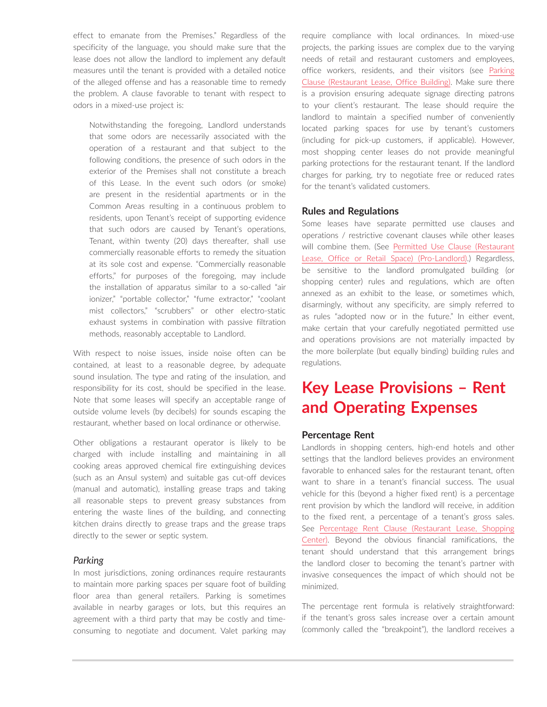effect to emanate from the Premises." Regardless of the specificity of the language, you should make sure that the lease does not allow the landlord to implement any default measures until the tenant is provided with a detailed notice of the alleged offense and has a reasonable time to remedy the problem. A clause favorable to tenant with respect to odors in a mixed-use project is:

Notwithstanding the foregoing, Landlord understands that some odors are necessarily associated with the operation of a restaurant and that subject to the following conditions, the presence of such odors in the exterior of the Premises shall not constitute a breach of this Lease. In the event such odors (or smoke) are present in the residential apartments or in the Common Areas resulting in a continuous problem to residents, upon Tenant's receipt of supporting evidence that such odors are caused by Tenant's operations, Tenant, within twenty (20) days thereafter, shall use commercially reasonable efforts to remedy the situation at its sole cost and expense. "Commercially reasonable efforts," for purposes of the foregoing, may include the installation of apparatus similar to a so-called "air ionizer," "portable collector," "fume extractor," "coolant mist collectors," "scrubbers" or other electro-static exhaust systems in combination with passive filtration methods, reasonably acceptable to Landlord.

With respect to noise issues, inside noise often can be contained, at least to a reasonable degree, by adequate sound insulation. The type and rating of the insulation, and responsibility for its cost, should be specified in the lease. Note that some leases will specify an acceptable range of outside volume levels (by decibels) for sounds escaping the restaurant, whether based on local ordinance or otherwise.

Other obligations a restaurant operator is likely to be charged with include installing and maintaining in all cooking areas approved chemical fire extinguishing devices (such as an Ansul system) and suitable gas cut-off devices (manual and automatic), installing grease traps and taking all reasonable steps to prevent greasy substances from entering the waste lines of the building, and connecting kitchen drains directly to grease traps and the grease traps directly to the sewer or septic system.

### *Parking*

In most jurisdictions, zoning ordinances require restaurants to maintain more parking spaces per square foot of building floor area than general retailers. Parking is sometimes available in nearby garages or lots, but this requires an agreement with a third party that may be costly and timeconsuming to negotiate and document. Valet parking may require compliance with local ordinances. In mixed-use projects, the parking issues are complex due to the varying needs of retail and restaurant customers and employees, office workers, residents, and their visitors (see [Parking](https://advance.lexis.com/open/document/lpadocument/?pdmfid=1000522&pddocfullpath=%2Fshared%2Fdocument%2Fforms%2Furn%3AcontentItem%3A5R6K-0CN1-F4GK-M4D1-00000-00&pdcontentcomponentid=500752&pdteaserkey=sr0&pditab=allpods&ecomp=ztrg&earg=sr0)  [Clause \(Restaurant Lease, Office Building\)](https://advance.lexis.com/open/document/lpadocument/?pdmfid=1000522&pddocfullpath=%2Fshared%2Fdocument%2Fforms%2Furn%3AcontentItem%3A5R6K-0CN1-F4GK-M4D1-00000-00&pdcontentcomponentid=500752&pdteaserkey=sr0&pditab=allpods&ecomp=ztrg&earg=sr0). Make sure there is a provision ensuring adequate signage directing patrons to your client's restaurant. The lease should require the landlord to maintain a specified number of conveniently located parking spaces for use by tenant's customers (including for pick-up customers, if applicable). However, most shopping center leases do not provide meaningful parking protections for the restaurant tenant. If the landlord charges for parking, try to negotiate free or reduced rates for the tenant's validated customers.

### **Rules and Regulations**

Some leases have separate permitted use clauses and operations / restrictive covenant clauses while other leases will combine them. (See [Permitted Use Clause \(Restaurant](https://advance.lexis.com/open/document/lpadocument/?pdmfid=1000522&pddocfullpath=%2Fshared%2Fdocument%2Fforms%2Furn%3AcontentItem%3A5R6K-0CN1-F4GK-M4D6-00000-00&pdcontentcomponentid=500752&pdteaserkey=sr0&pditab=allpods&ecomp=ztrg&earg=sr0)  [Lease, Office or Retail Space\) \(Pro-Landlord\).](https://advance.lexis.com/open/document/lpadocument/?pdmfid=1000522&pddocfullpath=%2Fshared%2Fdocument%2Fforms%2Furn%3AcontentItem%3A5R6K-0CN1-F4GK-M4D6-00000-00&pdcontentcomponentid=500752&pdteaserkey=sr0&pditab=allpods&ecomp=ztrg&earg=sr0)) Regardless, be sensitive to the landlord promulgated building (or shopping center) rules and regulations, which are often annexed as an exhibit to the lease, or sometimes which, disarmingly, without any specificity, are simply referred to as rules "adopted now or in the future." In either event, make certain that your carefully negotiated permitted use and operations provisions are not materially impacted by the more boilerplate (but equally binding) building rules and regulations.

# **Key Lease Provisions – Rent and Operating Expenses**

### **Percentage Rent**

Landlords in shopping centers, high-end hotels and other settings that the landlord believes provides an environment favorable to enhanced sales for the restaurant tenant, often want to share in a tenant's financial success. The usual vehicle for this (beyond a higher fixed rent) is a percentage rent provision by which the landlord will receive, in addition to the fixed rent, a percentage of a tenant's gross sales. See [Percentage Rent Clause \(Restaurant Lease, Shopping](https://advance.lexis.com/open/document/lpadocument/?pdmfid=1000522&pddocfullpath=%2Fshared%2Fdocument%2Fforms%2Furn%3AcontentItem%3A5R6K-0CN1-F4GK-M4D2-00000-00&pdcontentcomponentid=500752&pdteaserkey=sr0&pditab=allpods&ecomp=ztrg&earg=sr0)  [Center\).](https://advance.lexis.com/open/document/lpadocument/?pdmfid=1000522&pddocfullpath=%2Fshared%2Fdocument%2Fforms%2Furn%3AcontentItem%3A5R6K-0CN1-F4GK-M4D2-00000-00&pdcontentcomponentid=500752&pdteaserkey=sr0&pditab=allpods&ecomp=ztrg&earg=sr0) Beyond the obvious financial ramifications, the tenant should understand that this arrangement brings the landlord closer to becoming the tenant's partner with invasive consequences the impact of which should not be minimized.

The percentage rent formula is relatively straightforward: if the tenant's gross sales increase over a certain amount (commonly called the "breakpoint"), the landlord receives a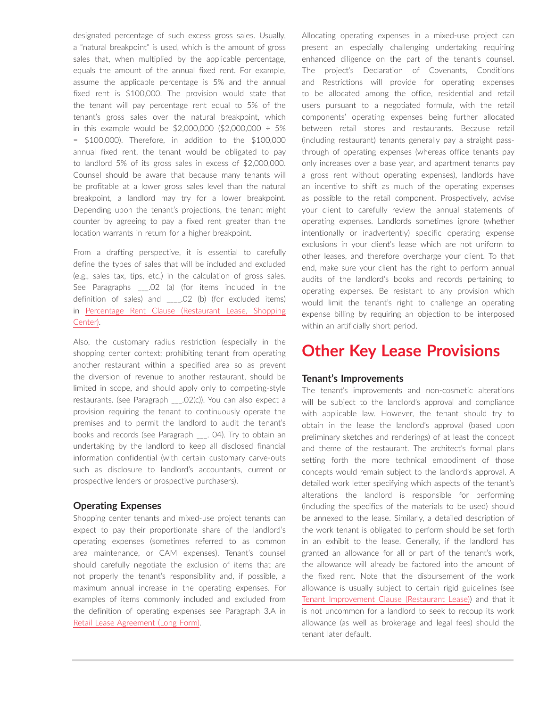designated percentage of such excess gross sales. Usually, a "natural breakpoint" is used, which is the amount of gross sales that, when multiplied by the applicable percentage, equals the amount of the annual fixed rent. For example, assume the applicable percentage is 5% and the annual fixed rent is \$100,000. The provision would state that the tenant will pay percentage rent equal to 5% of the tenant's gross sales over the natural breakpoint, which in this example would be \$2,000,000 (\$2,000,000 ÷ 5% = \$100,000). Therefore, in addition to the \$100,000 annual fixed rent, the tenant would be obligated to pay to landlord 5% of its gross sales in excess of \$2,000,000. Counsel should be aware that because many tenants will be profitable at a lower gross sales level than the natural breakpoint, a landlord may try for a lower breakpoint. Depending upon the tenant's projections, the tenant might counter by agreeing to pay a fixed rent greater than the location warrants in return for a higher breakpoint.

From a drafting perspective, it is essential to carefully define the types of sales that will be included and excluded (e.g., sales tax, tips, etc.) in the calculation of gross sales. See Paragraphs \_\_\_.02 (a) (for items included in the definition of sales) and .02 (b) (for excluded items) in [Percentage Rent Clause \(Restaurant Lease, Shopping](https://advance.lexis.com/open/document/lpadocument/?pdmfid=1000522&pddocfullpath=%2Fshared%2Fdocument%2Fforms%2Furn%3AcontentItem%3A5R6K-0CN1-F4GK-M4D2-00000-00&pdcontentcomponentid=500752&pdteaserkey=sr0&pditab=allpods&ecomp=ztrg&earg=sr0)  [Center\).](https://advance.lexis.com/open/document/lpadocument/?pdmfid=1000522&pddocfullpath=%2Fshared%2Fdocument%2Fforms%2Furn%3AcontentItem%3A5R6K-0CN1-F4GK-M4D2-00000-00&pdcontentcomponentid=500752&pdteaserkey=sr0&pditab=allpods&ecomp=ztrg&earg=sr0)

Also, the customary radius restriction (especially in the shopping center context; prohibiting tenant from operating another restaurant within a specified area so as prevent the diversion of revenue to another restaurant, should be limited in scope, and should apply only to competing-style restaurants. (see Paragraph \_\_\_.02(c)). You can also expect a provision requiring the tenant to continuously operate the premises and to permit the landlord to audit the tenant's books and records (see Paragraph \_\_\_. 04). Try to obtain an undertaking by the landlord to keep all disclosed financial information confidential (with certain customary carve-outs such as disclosure to landlord's accountants, current or prospective lenders or prospective purchasers).

### **Operating Expenses**

Shopping center tenants and mixed-use project tenants can expect to pay their proportionate share of the landlord's operating expenses (sometimes referred to as common area maintenance, or CAM expenses). Tenant's counsel should carefully negotiate the exclusion of items that are not properly the tenant's responsibility and, if possible, a maximum annual increase in the operating expenses. For examples of items commonly included and excluded from the definition of operating expenses see Paragraph 3.A in [Retail Lease Agreement \(Long Form\)](https://advance.lexis.com/open/document/lpadocument/?pdmfid=1000522&pddocfullpath=%2Fshared%2Fdocument%2Fforms%2Furn%3AcontentItem%3A5B96-SXY1-JG59-22M2-00000-00&pdcontentcomponentid=500752&pdteaserkey=sr47&pditab=allpods&ecomp=ztrg&earg=sr47).

Allocating operating expenses in a mixed-use project can present an especially challenging undertaking requiring enhanced diligence on the part of the tenant's counsel. The project's Declaration of Covenants, Conditions and Restrictions will provide for operating expenses to be allocated among the office, residential and retail users pursuant to a negotiated formula, with the retail components' operating expenses being further allocated between retail stores and restaurants. Because retail (including restaurant) tenants generally pay a straight passthrough of operating expenses (whereas office tenants pay only increases over a base year, and apartment tenants pay a gross rent without operating expenses), landlords have an incentive to shift as much of the operating expenses as possible to the retail component. Prospectively, advise your client to carefully review the annual statements of operating expenses. Landlords sometimes ignore (whether intentionally or inadvertently) specific operating expense exclusions in your client's lease which are not uniform to other leases, and therefore overcharge your client. To that end, make sure your client has the right to perform annual audits of the landlord's books and records pertaining to operating expenses. Be resistant to any provision which would limit the tenant's right to challenge an operating expense billing by requiring an objection to be interposed within an artificially short period.

### **Other Key Lease Provisions**

### **Tenant's Improvements**

The tenant's improvements and non-cosmetic alterations will be subject to the landlord's approval and compliance with applicable law. However, the tenant should try to obtain in the lease the landlord's approval (based upon preliminary sketches and renderings) of at least the concept and theme of the restaurant. The architect's formal plans setting forth the more technical embodiment of those concepts would remain subject to the landlord's approval. A detailed work letter specifying which aspects of the tenant's alterations the landlord is responsible for performing (including the specifics of the materials to be used) should be annexed to the lease. Similarly, a detailed description of the work tenant is obligated to perform should be set forth in an exhibit to the lease. Generally, if the landlord has granted an allowance for all or part of the tenant's work, the allowance will already be factored into the amount of the fixed rent. Note that the disbursement of the work allowance is usually subject to certain rigid guidelines (see [Tenant Improvement Clause \(Restaurant Lease\)](https://advance.lexis.com/open/document/lpadocument/?pdmfid=1000522&pddocfullpath=%2Fshared%2Fdocument%2Fforms%2Furn%3AcontentItem%3A5R6K-0CN1-F4GK-M4D8-00000-00&pdcontentcomponentid=500752&pdteaserkey=sr0&pditab=allpods&ecomp=ztrg&earg=sr0)) and that it is not uncommon for a landlord to seek to recoup its work allowance (as well as brokerage and legal fees) should the tenant later default.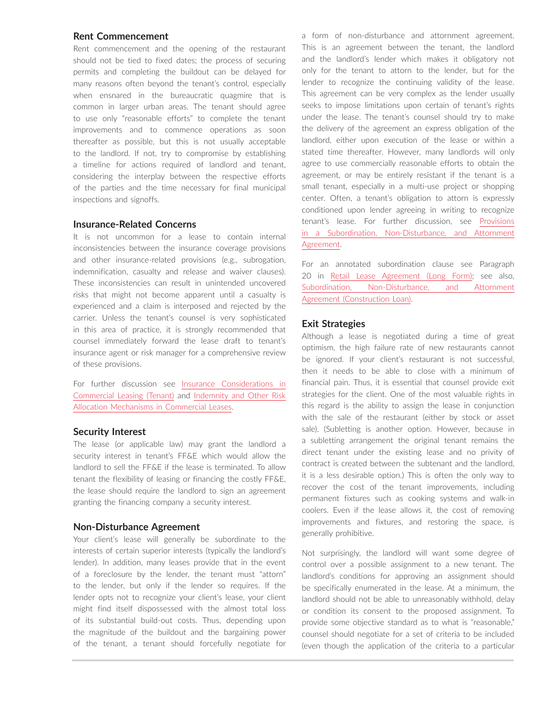### **Rent Commencement**

Rent commencement and the opening of the restaurant should not be tied to fixed dates; the process of securing permits and completing the buildout can be delayed for many reasons often beyond the tenant's control, especially when ensnared in the bureaucratic quagmire that is common in larger urban areas. The tenant should agree to use only "reasonable efforts" to complete the tenant improvements and to commence operations as soon thereafter as possible, but this is not usually acceptable to the landlord. If not, try to compromise by establishing a timeline for actions required of landlord and tenant, considering the interplay between the respective efforts of the parties and the time necessary for final municipal inspections and signoffs.

### **Insurance-Related Concerns**

It is not uncommon for a lease to contain internal inconsistencies between the insurance coverage provisions and other insurance-related provisions (e.g., subrogation, indemnification, casualty and release and waiver clauses). These inconsistencies can result in unintended uncovered risks that might not become apparent until a casualty is experienced and a claim is interposed and rejected by the carrier. Unless the tenant's counsel is very sophisticated in this area of practice, it is strongly recommended that counsel immediately forward the lease draft to tenant's insurance agent or risk manager for a comprehensive review of these provisions.

For further discussion see [Insurance Considerations in](https://advance.lexis.com/open/document/lpadocument/?pdmfid=1000522&pddocfullpath=%2Fshared%2Fdocument%2Fanalytical-materials%2Furn%3AcontentItem%3A5R4B-K6C1-F57G-S4BM-00000-00&pdcontentcomponentid=500749&pdteaserkey=sr0&pditab=allpods&ecomp=ztrg&earg=sr0)  [Commercial Leasing \(Tenant\)](https://advance.lexis.com/open/document/lpadocument/?pdmfid=1000522&pddocfullpath=%2Fshared%2Fdocument%2Fanalytical-materials%2Furn%3AcontentItem%3A5R4B-K6C1-F57G-S4BM-00000-00&pdcontentcomponentid=500749&pdteaserkey=sr0&pditab=allpods&ecomp=ztrg&earg=sr0) and [Indemnity and Other Risk](https://advance.lexis.com/open/document/lpadocument/?pdmfid=1000522&pddocfullpath=%2Fshared%2Fdocument%2Fanalytical-materials%2Furn%3AcontentItem%3A5R4B-K6C1-F57G-S4BN-00000-00&pdcontentcomponentid=500749&pdteaserkey=sr0&pditab=allpods&ecomp=ztrg&earg=sr0)  [Allocation Mechanisms in Commercial Leases](https://advance.lexis.com/open/document/lpadocument/?pdmfid=1000522&pddocfullpath=%2Fshared%2Fdocument%2Fanalytical-materials%2Furn%3AcontentItem%3A5R4B-K6C1-F57G-S4BN-00000-00&pdcontentcomponentid=500749&pdteaserkey=sr0&pditab=allpods&ecomp=ztrg&earg=sr0).

### **Security Interest**

The lease (or applicable law) may grant the landlord a security interest in tenant's FF&E which would allow the landlord to sell the FF&E if the lease is terminated. To allow tenant the flexibility of leasing or financing the costly FF&E, the lease should require the landlord to sign an agreement granting the financing company a security interest.

### **Non-Disturbance Agreement**

Your client's lease will generally be subordinate to the interests of certain superior interests (typically the landlord's lender). In addition, many leases provide that in the event of a foreclosure by the lender, the tenant must "attorn" to the lender, but only if the lender so requires. If the lender opts not to recognize your client's lease, your client might find itself dispossessed with the almost total loss of its substantial build-out costs. Thus, depending upon the magnitude of the buildout and the bargaining power of the tenant, a tenant should forcefully negotiate for

a form of non-disturbance and attornment agreement. This is an agreement between the tenant, the landlord and the landlord's lender which makes it obligatory not only for the tenant to attorn to the lender, but for the lender to recognize the continuing validity of the lease. This agreement can be very complex as the lender usually seeks to impose limitations upon certain of tenant's rights under the lease. The tenant's counsel should try to make the delivery of the agreement an express obligation of the landlord, either upon execution of the lease or within a stated time thereafter. However, many landlords will only agree to use commercially reasonable efforts to obtain the agreement, or may be entirely resistant if the tenant is a small tenant, especially in a multi-use project or shopping center. Often, a tenant's obligation to attorn is expressly conditioned upon lender agreeing in writing to recognize tenant's lease. For further discussion, see [Provisions](https://advance.lexis.com/open/document/lpadocument/?pdmfid=1000522&pddocfullpath=%2Fshared%2Fdocument%2Fanalytical-materials%2Furn%3AcontentItem%3A5MND-X4Y1-JJ1H-X489-00000-00&pdcontentcomponentid=500749&pdteaserkey=sr0&pditab=allpods&ecomp=ztrg&earg=sr0)  [in a Subordination, Non-Disturbance, and Attornment](https://advance.lexis.com/open/document/lpadocument/?pdmfid=1000522&pddocfullpath=%2Fshared%2Fdocument%2Fanalytical-materials%2Furn%3AcontentItem%3A5MND-X4Y1-JJ1H-X489-00000-00&pdcontentcomponentid=500749&pdteaserkey=sr0&pditab=allpods&ecomp=ztrg&earg=sr0)  [Agreement.](https://advance.lexis.com/open/document/lpadocument/?pdmfid=1000522&pddocfullpath=%2Fshared%2Fdocument%2Fanalytical-materials%2Furn%3AcontentItem%3A5MND-X4Y1-JJ1H-X489-00000-00&pdcontentcomponentid=500749&pdteaserkey=sr0&pditab=allpods&ecomp=ztrg&earg=sr0)

For an annotated subordination clause see Paragraph 20 in [Retail Lease Agreement \(Long Form\);](https://advance.lexis.com/open/document/lpadocument/?pdmfid=1000522&pddocfullpath=%2Fshared%2Fdocument%2Fforms%2Furn%3AcontentItem%3A5B96-SXY1-JG59-22M2-00000-00&pdcontentcomponentid=500752&pdteaserkey=sr47&pditab=allpods&ecomp=ztrg&earg=sr47) see also, [Subordination, Non-Disturbance, and Attornment](https://advance.lexis.com/open/document/lpadocument/?pdmfid=1000522&pddocfullpath=%2Fshared%2Fdocument%2Fforms%2Furn%3AcontentItem%3A59M4-93D1-JFSV-G3FH-00000-00&pdcontentcomponentid=500752&pdteaserkey=sr0&pditab=allpods&ecomp=ztrg&earg=sr0)  [Agreement \(Construction Loan\)](https://advance.lexis.com/open/document/lpadocument/?pdmfid=1000522&pddocfullpath=%2Fshared%2Fdocument%2Fforms%2Furn%3AcontentItem%3A59M4-93D1-JFSV-G3FH-00000-00&pdcontentcomponentid=500752&pdteaserkey=sr0&pditab=allpods&ecomp=ztrg&earg=sr0).

#### **Exit Strategies**

Although a lease is negotiated during a time of great optimism, the high failure rate of new restaurants cannot be ignored. If your client's restaurant is not successful, then it needs to be able to close with a minimum of financial pain. Thus, it is essential that counsel provide exit strategies for the client. One of the most valuable rights in this regard is the ability to assign the lease in conjunction with the sale of the restaurant (either by stock or asset sale). (Subletting is another option. However, because in a subletting arrangement the original tenant remains the direct tenant under the existing lease and no privity of contract is created between the subtenant and the landlord, it is a less desirable option.) This is often the only way to recover the cost of the tenant improvements, including permanent fixtures such as cooking systems and walk-in coolers. Even if the lease allows it, the cost of removing improvements and fixtures, and restoring the space, is generally prohibitive.

Not surprisingly, the landlord will want some degree of control over a possible assignment to a new tenant. The landlord's conditions for approving an assignment should be specifically enumerated in the lease. At a minimum, the landlord should not be able to unreasonably withhold, delay or condition its consent to the proposed assignment. To provide some objective standard as to what is "reasonable," counsel should negotiate for a set of criteria to be included (even though the application of the criteria to a particular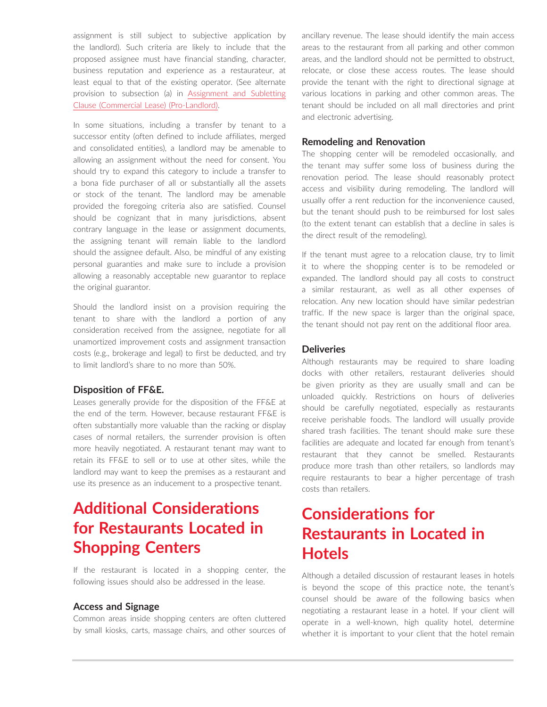assignment is still subject to subjective application by the landlord). Such criteria are likely to include that the proposed assignee must have financial standing, character, business reputation and experience as a restaurateur, at least equal to that of the existing operator. (See alternate provision to subsection (a) in [Assignment and Subletting](https://advance.lexis.com/open/document/lpadocument/?pdmfid=1000522&pddocfullpath=%2Fshared%2Fdocument%2Fforms%2Furn%3AcontentItem%3A5R6K-0CN1-F4GK-M4CN-00000-00&pdcontentcomponentid=500752&pdteaserkey=sr0&pditab=allpods&ecomp=ztrg&earg=sr0)  [Clause \(Commercial Lease\) \(Pro-Landlord\).](https://advance.lexis.com/open/document/lpadocument/?pdmfid=1000522&pddocfullpath=%2Fshared%2Fdocument%2Fforms%2Furn%3AcontentItem%3A5R6K-0CN1-F4GK-M4CN-00000-00&pdcontentcomponentid=500752&pdteaserkey=sr0&pditab=allpods&ecomp=ztrg&earg=sr0)

In some situations, including a transfer by tenant to a successor entity (often defined to include affiliates, merged and consolidated entities), a landlord may be amenable to allowing an assignment without the need for consent. You should try to expand this category to include a transfer to a bona fide purchaser of all or substantially all the assets or stock of the tenant. The landlord may be amenable provided the foregoing criteria also are satisfied. Counsel should be cognizant that in many jurisdictions, absent contrary language in the lease or assignment documents, the assigning tenant will remain liable to the landlord should the assignee default. Also, be mindful of any existing personal guaranties and make sure to include a provision allowing a reasonably acceptable new guarantor to replace the original guarantor.

Should the landlord insist on a provision requiring the tenant to share with the landlord a portion of any consideration received from the assignee, negotiate for all unamortized improvement costs and assignment transaction costs (e.g., brokerage and legal) to first be deducted, and try to limit landlord's share to no more than 50%.

### **Disposition of FF&E.**

Leases generally provide for the disposition of the FF&E at the end of the term. However, because restaurant FF&E is often substantially more valuable than the racking or display cases of normal retailers, the surrender provision is often more heavily negotiated. A restaurant tenant may want to retain its FF&E to sell or to use at other sites, while the landlord may want to keep the premises as a restaurant and use its presence as an inducement to a prospective tenant.

# **Additional Considerations for Restaurants Located in Shopping Centers**

If the restaurant is located in a shopping center, the following issues should also be addressed in the lease.

### **Access and Signage**

Common areas inside shopping centers are often cluttered by small kiosks, carts, massage chairs, and other sources of ancillary revenue. The lease should identify the main access areas to the restaurant from all parking and other common areas, and the landlord should not be permitted to obstruct, relocate, or close these access routes. The lease should provide the tenant with the right to directional signage at various locations in parking and other common areas. The tenant should be included on all mall directories and print and electronic advertising.

### **Remodeling and Renovation**

The shopping center will be remodeled occasionally, and the tenant may suffer some loss of business during the renovation period. The lease should reasonably protect access and visibility during remodeling. The landlord will usually offer a rent reduction for the inconvenience caused, but the tenant should push to be reimbursed for lost sales (to the extent tenant can establish that a decline in sales is the direct result of the remodeling).

If the tenant must agree to a relocation clause, try to limit it to where the shopping center is to be remodeled or expanded. The landlord should pay all costs to construct a similar restaurant, as well as all other expenses of relocation. Any new location should have similar pedestrian traffic. If the new space is larger than the original space, the tenant should not pay rent on the additional floor area.

### **Deliveries**

Although restaurants may be required to share loading docks with other retailers, restaurant deliveries should be given priority as they are usually small and can be unloaded quickly. Restrictions on hours of deliveries should be carefully negotiated, especially as restaurants receive perishable foods. The landlord will usually provide shared trash facilities. The tenant should make sure these facilities are adequate and located far enough from tenant's restaurant that they cannot be smelled. Restaurants produce more trash than other retailers, so landlords may require restaurants to bear a higher percentage of trash costs than retailers.

# **Considerations for Restaurants in Located in Hotels**

Although a detailed discussion of restaurant leases in hotels is beyond the scope of this practice note, the tenant's counsel should be aware of the following basics when negotiating a restaurant lease in a hotel. If your client will operate in a well-known, high quality hotel, determine whether it is important to your client that the hotel remain